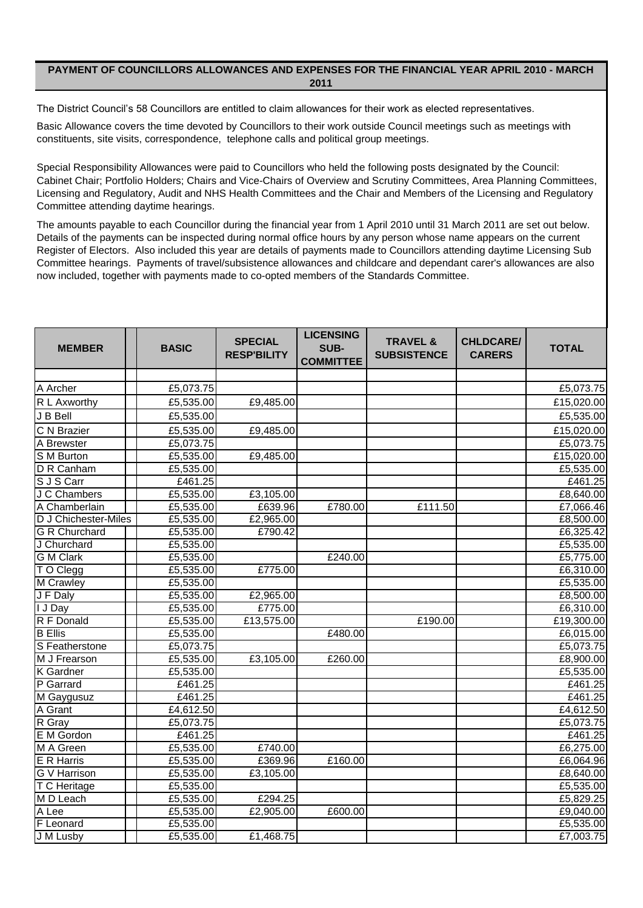## **PAYMENT OF COUNCILLORS ALLOWANCES AND EXPENSES FOR THE FINANCIAL YEAR APRIL 2010 - MARCH 2011**

The District Council's 58 Councillors are entitled to claim allowances for their work as elected representatives.

Basic Allowance covers the time devoted by Councillors to their work outside Council meetings such as meetings with constituents, site visits, correspondence, telephone calls and political group meetings.

Cabinet Chair; Portfolio Holders; Chairs and Vice-Chairs of Overview and Scrutiny Committees, Area Planning Committees, Licensing and Regulatory, Audit and NHS Health Committees and the Chair and Members of the Licensing and Regulatory Committee attending daytime hearings. Special Responsibility Allowances were paid to Councillors who held the following posts designated by the Council:

The amounts payable to each Councillor during the financial year from 1 April 2010 until 31 March 2011 are set out below. Details of the payments can be inspected during normal office hours by any person whose name appears on the current Register of Electors. Also included this year are details of payments made to Councillors attending daytime Licensing Sub Committee hearings. Payments of travel/subsistence allowances and childcare and dependant carer's allowances are also now included, together with payments made to co-opted members of the Standards Committee.

| <b>MEMBER</b>        | <b>BASIC</b>                 | <b>SPECIAL</b><br><b>RESP'BILITY</b> | <b>LICENSING</b><br>SUB-<br><b>COMMITTEE</b> | <b>TRAVEL &amp;</b><br><b>SUBSISTENCE</b> | <b>CHLDCARE/</b><br><b>CARERS</b> | <b>TOTAL</b> |
|----------------------|------------------------------|--------------------------------------|----------------------------------------------|-------------------------------------------|-----------------------------------|--------------|
|                      |                              |                                      |                                              |                                           |                                   |              |
| A Archer             | £5,073.75                    |                                      |                                              |                                           |                                   | £5,073.75    |
| R L Axworthy         | £5,535.00                    | £9,485.00                            |                                              |                                           |                                   | £15,020.00   |
| J B Bell             | £5,535.00                    |                                      |                                              |                                           |                                   | £5,535.00    |
| C N Brazier          | £5,535.00                    | £9,485.00                            |                                              |                                           |                                   | £15,020.00   |
| A Brewster           | £5,073.75                    |                                      |                                              |                                           |                                   | £5,073.75    |
| S M Burton           | £5,535.00                    | £9,485.00                            |                                              |                                           |                                   | £15,020.00   |
| D R Canham           | £5,535.00                    |                                      |                                              |                                           |                                   | £5,535.00    |
| S J S Carr           | £461.25                      |                                      |                                              |                                           |                                   | £461.25      |
| J C Chambers         | £5,535.00                    | £3,105.00                            |                                              |                                           |                                   | £8,640.00    |
| A Chamberlain        | £5,535.00                    | £639.96                              | £780.00                                      | £111.50                                   |                                   | £7,066.46    |
| D J Chichester-Miles | £5,535.00                    | £2,965.00                            |                                              |                                           |                                   | £8,500.00    |
| <b>G R Churchard</b> | £5,535.00                    | £790.42                              |                                              |                                           |                                   | £6,325.42    |
| J Churchard          | £5,535.00                    |                                      |                                              |                                           |                                   | £5,535.00    |
| <b>G</b> M Clark     | £5,535.00                    |                                      | £240.00                                      |                                           |                                   | £5,775.00    |
| TO Clegg             | £5,535.00                    | £775.00                              |                                              |                                           |                                   | £6,310.00    |
| M Crawley            | £5,535.00                    |                                      |                                              |                                           |                                   | £5,535.00    |
| J F Daly             | £5,535.00                    | £2,965.00                            |                                              |                                           |                                   | £8,500.00    |
| I J Day              | £5,535.00                    | £775.00                              |                                              |                                           |                                   | £6,310.00    |
| R F Donald           | £5,535.00                    | £13,575.00                           |                                              | £190.00                                   |                                   | £19,300.00   |
| <b>B</b> Ellis       | £5,535.00                    |                                      | £480.00                                      |                                           |                                   | £6,015.00    |
| S Featherstone       | £5,073.75                    |                                      |                                              |                                           |                                   | £5,073.75    |
| M J Frearson         | £5,535.00                    | £3,105.00                            | £260.00                                      |                                           |                                   | £8,900.00    |
| <b>K</b> Gardner     | £5,535.00                    |                                      |                                              |                                           |                                   | £5,535.00    |
| P Garrard            | $\overline{\text{£}}$ 461.25 |                                      |                                              |                                           |                                   | £461.25      |
| M Gaygusuz           | £461.25                      |                                      |                                              |                                           |                                   | £461.25      |
| A Grant              | £4,612.50                    |                                      |                                              |                                           |                                   | £4,612.50    |
| R Gray               | £5,073.75                    |                                      |                                              |                                           |                                   | £5,073.75    |
| E M Gordon           | £461.25                      |                                      |                                              |                                           |                                   | £461.25      |
| M A Green            | £5,535.00                    | £740.00                              |                                              |                                           |                                   | £6,275.00    |
| <b>E</b> R Harris    | £5,535.00                    | £369.96                              | £160.00                                      |                                           |                                   | £6,064.96    |
| <b>G</b> V Harrison  | £5,535.00                    | £3,105.00                            |                                              |                                           |                                   | £8,640.00    |
| T C Heritage         | £5,535.00                    |                                      |                                              |                                           |                                   | £5,535.00    |
| M D Leach            | £5,535.00                    | £294.25                              |                                              |                                           |                                   | £5,829.25    |
| A Lee                | £5,535.00                    | £2,905.00                            | £600.00                                      |                                           |                                   | £9,040.00    |
| <b>F</b> Leonard     | £5,535.00                    |                                      |                                              |                                           |                                   | £5,535.00    |
| J M Lusby            | £5,535.00                    | £1,468.75                            |                                              |                                           |                                   | £7,003.75    |